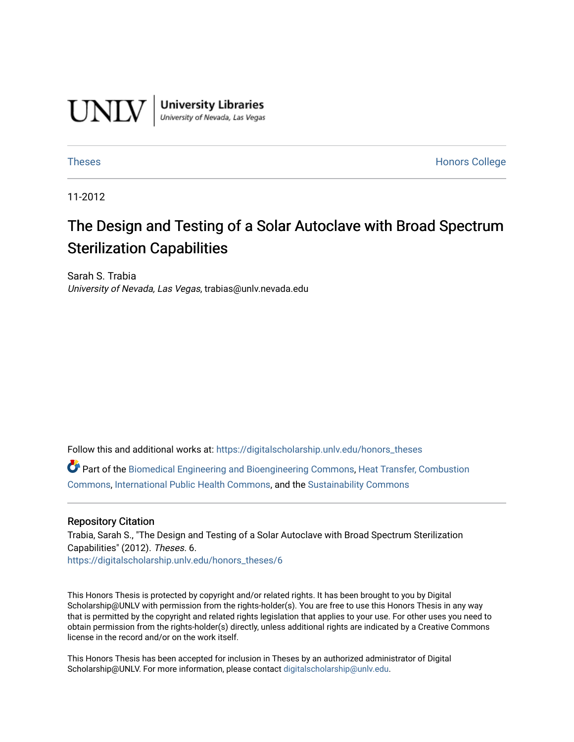

**University Libraries**<br>University of Nevada, Las Vegas

[Theses](https://digitalscholarship.unlv.edu/honors_theses) **Honors College** [Honors College](https://digitalscholarship.unlv.edu/honors) **Honors College** 

11-2012

# The Design and Testing of a Solar Autoclave with Broad Spectrum Sterilization Capabilities

Sarah S. Trabia University of Nevada, Las Vegas, trabias@unlv.nevada.edu

Follow this and additional works at: [https://digitalscholarship.unlv.edu/honors\\_theses](https://digitalscholarship.unlv.edu/honors_theses?utm_source=digitalscholarship.unlv.edu%2Fhonors_theses%2F6&utm_medium=PDF&utm_campaign=PDFCoverPages) 

Part of the [Biomedical Engineering and Bioengineering Commons,](http://network.bepress.com/hgg/discipline/229?utm_source=digitalscholarship.unlv.edu%2Fhonors_theses%2F6&utm_medium=PDF&utm_campaign=PDFCoverPages) [Heat Transfer, Combustion](http://network.bepress.com/hgg/discipline/300?utm_source=digitalscholarship.unlv.edu%2Fhonors_theses%2F6&utm_medium=PDF&utm_campaign=PDFCoverPages)  [Commons](http://network.bepress.com/hgg/discipline/300?utm_source=digitalscholarship.unlv.edu%2Fhonors_theses%2F6&utm_medium=PDF&utm_campaign=PDFCoverPages), [International Public Health Commons,](http://network.bepress.com/hgg/discipline/746?utm_source=digitalscholarship.unlv.edu%2Fhonors_theses%2F6&utm_medium=PDF&utm_campaign=PDFCoverPages) and the [Sustainability Commons](http://network.bepress.com/hgg/discipline/1031?utm_source=digitalscholarship.unlv.edu%2Fhonors_theses%2F6&utm_medium=PDF&utm_campaign=PDFCoverPages) 

#### Repository Citation

Trabia, Sarah S., "The Design and Testing of a Solar Autoclave with Broad Spectrum Sterilization Capabilities" (2012). Theses. 6. [https://digitalscholarship.unlv.edu/honors\\_theses/6](https://digitalscholarship.unlv.edu/honors_theses/6?utm_source=digitalscholarship.unlv.edu%2Fhonors_theses%2F6&utm_medium=PDF&utm_campaign=PDFCoverPages) 

This Honors Thesis is protected by copyright and/or related rights. It has been brought to you by Digital Scholarship@UNLV with permission from the rights-holder(s). You are free to use this Honors Thesis in any way that is permitted by the copyright and related rights legislation that applies to your use. For other uses you need to obtain permission from the rights-holder(s) directly, unless additional rights are indicated by a Creative Commons license in the record and/or on the work itself.

This Honors Thesis has been accepted for inclusion in Theses by an authorized administrator of Digital Scholarship@UNLV. For more information, please contact [digitalscholarship@unlv.edu.](mailto:digitalscholarship@unlv.edu)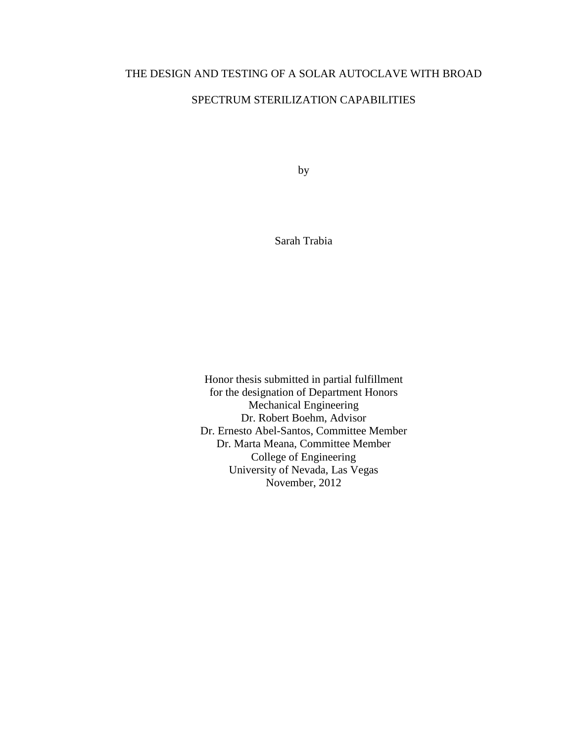# THE DESIGN AND TESTING OF A SOLAR AUTOCLAVE WITH BROAD

# SPECTRUM STERILIZATION CAPABILITIES

by

Sarah Trabia

Honor thesis submitted in partial fulfillment for the designation of Department Honors Mechanical Engineering Dr. Robert Boehm, Advisor Dr. Ernesto Abel-Santos, Committee Member Dr. Marta Meana, Committee Member College of Engineering University of Nevada, Las Vegas November, 2012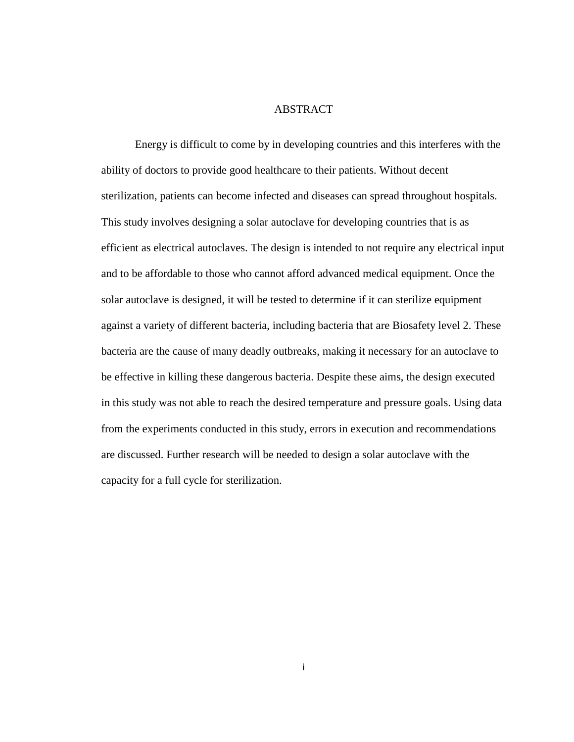#### ABSTRACT

Energy is difficult to come by in developing countries and this interferes with the ability of doctors to provide good healthcare to their patients. Without decent sterilization, patients can become infected and diseases can spread throughout hospitals. This study involves designing a solar autoclave for developing countries that is as efficient as electrical autoclaves. The design is intended to not require any electrical input and to be affordable to those who cannot afford advanced medical equipment. Once the solar autoclave is designed, it will be tested to determine if it can sterilize equipment against a variety of different bacteria, including bacteria that are Biosafety level 2. These bacteria are the cause of many deadly outbreaks, making it necessary for an autoclave to be effective in killing these dangerous bacteria. Despite these aims, the design executed in this study was not able to reach the desired temperature and pressure goals. Using data from the experiments conducted in this study, errors in execution and recommendations are discussed. Further research will be needed to design a solar autoclave with the capacity for a full cycle for sterilization.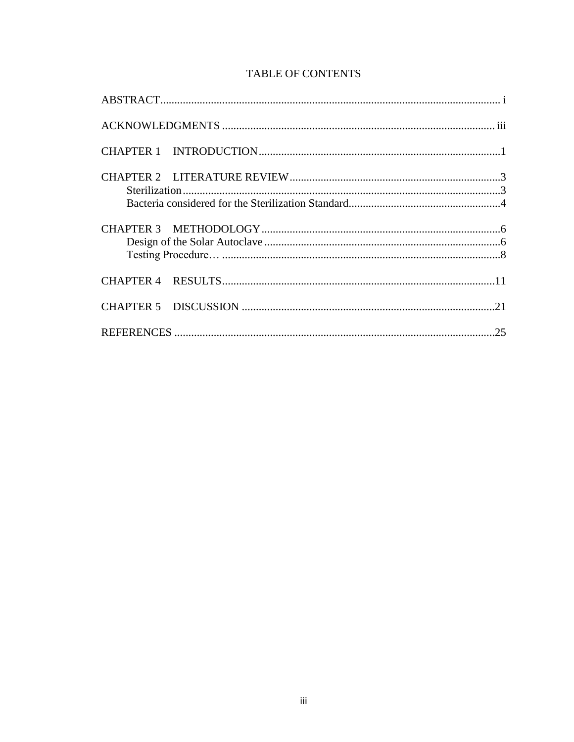# **TABLE OF CONTENTS**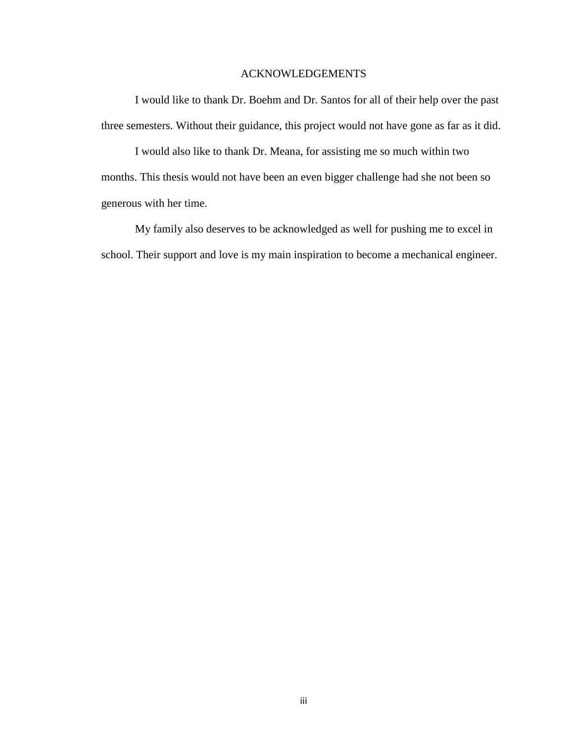### ACKNOWLEDGEMENTS

I would like to thank Dr. Boehm and Dr. Santos for all of their help over the past three semesters. Without their guidance, this project would not have gone as far as it did.

I would also like to thank Dr. Meana, for assisting me so much within two months. This thesis would not have been an even bigger challenge had she not been so generous with her time.

My family also deserves to be acknowledged as well for pushing me to excel in school. Their support and love is my main inspiration to become a mechanical engineer.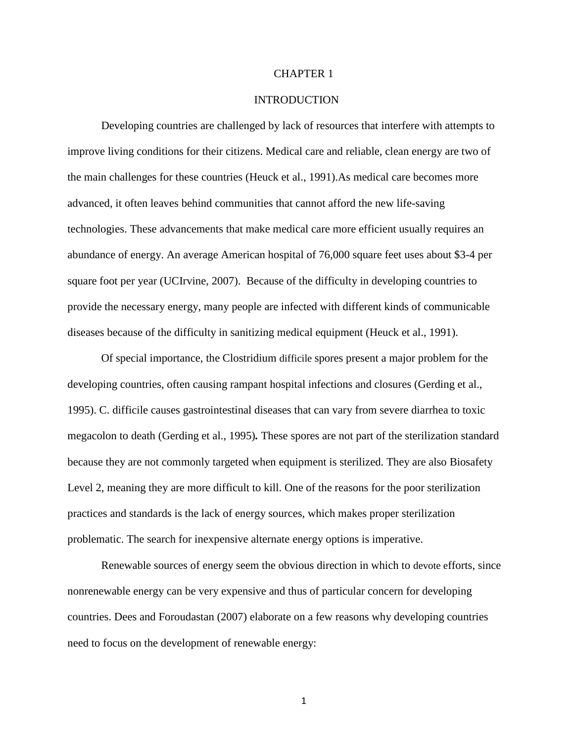#### CHAPTER 1

#### **INTRODUCTION**

Developing countries are challenged by lack of resources that interfere with attempts to improve living conditions for their citizens. Medical care and reliable, clean energy are two of the main challenges for these countries (Heuck et al., 1991).As medical care becomes more advanced, it often leaves behind communities that cannot afford the new life-saving technologies. These advancements that make medical care more efficient usually requires an abundance of energy. An average American hospital of 76,000 square feet uses about \$3-4 per square foot per year (UCIrvine, 2007). Because of the difficulty in developing countries to provide the necessary energy, many people are infected with different kinds of communicable diseases because of the difficulty in sanitizing medical equipment (Heuck et al., 1991).

Of special importance, the Clostridium difficile spores present a major problem for the developing countries, often causing rampant hospital infections and closures (Gerding et al., 1995). C. difficile causes gastrointestinal diseases that can vary from severe diarrhea to toxic megacolon to death (Gerding et al., 1995)*.* These spores are not part of the sterilization standard because they are not commonly targeted when equipment is sterilized. They are also Biosafety Level 2, meaning they are more difficult to kill. One of the reasons for the poor sterilization practices and standards is the lack of energy sources, which makes proper sterilization problematic. The search for inexpensive alternate energy options is imperative.

Renewable sources of energy seem the obvious direction in which to devote efforts, since nonrenewable energy can be very expensive and thus of particular concern for developing countries. Dees and Foroudastan (2007) elaborate on a few reasons why developing countries need to focus on the development of renewable energy: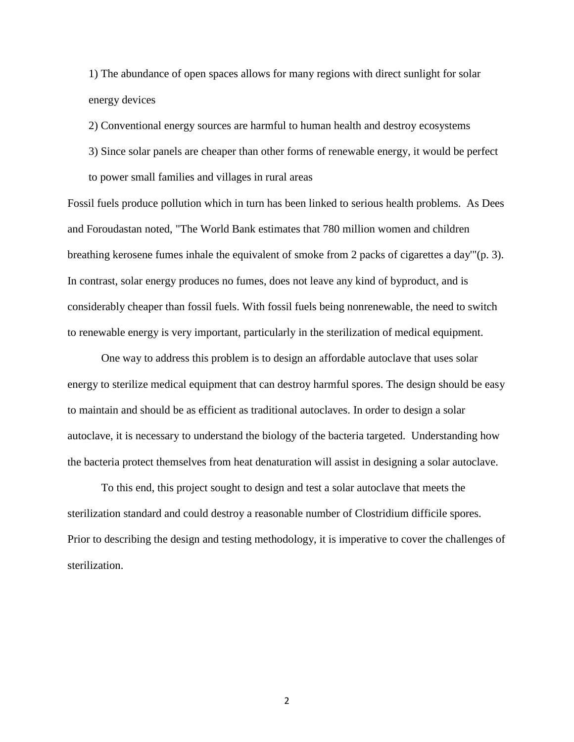1) The abundance of open spaces allows for many regions with direct sunlight for solar energy devices

2) Conventional energy sources are harmful to human health and destroy ecosystems

- 3) Since solar panels are cheaper than other forms of renewable energy, it would be perfect
- to power small families and villages in rural areas

Fossil fuels produce pollution which in turn has been linked to serious health problems. As Dees and Foroudastan noted, "The World Bank estimates that 780 million women and children breathing kerosene fumes inhale the equivalent of smoke from 2 packs of cigarettes a day'"(p. 3). In contrast, solar energy produces no fumes, does not leave any kind of byproduct, and is considerably cheaper than fossil fuels. With fossil fuels being nonrenewable, the need to switch to renewable energy is very important, particularly in the sterilization of medical equipment.

One way to address this problem is to design an affordable autoclave that uses solar energy to sterilize medical equipment that can destroy harmful spores. The design should be easy to maintain and should be as efficient as traditional autoclaves. In order to design a solar autoclave, it is necessary to understand the biology of the bacteria targeted. Understanding how the bacteria protect themselves from heat denaturation will assist in designing a solar autoclave.

To this end, this project sought to design and test a solar autoclave that meets the sterilization standard and could destroy a reasonable number of Clostridium difficile spores. Prior to describing the design and testing methodology, it is imperative to cover the challenges of sterilization.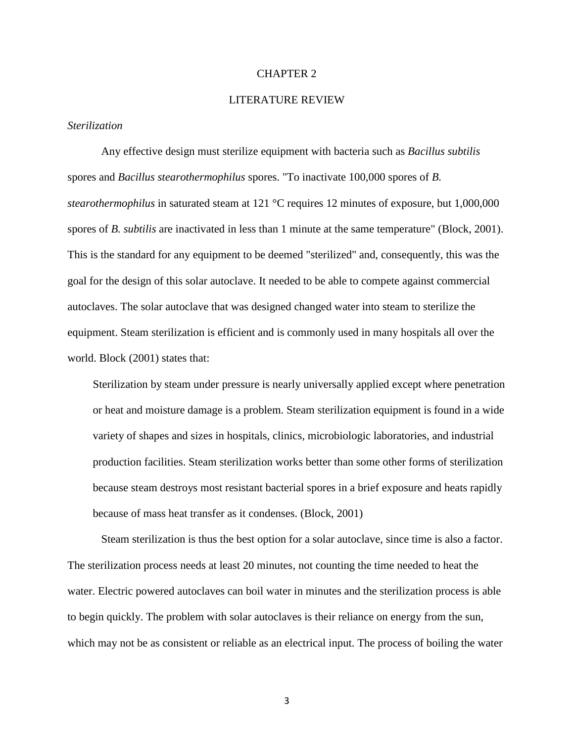#### CHAPTER 2

#### LITERATURE REVIEW

#### *Sterilization*

Any effective design must sterilize equipment with bacteria such as *Bacillus subtilis* spores and *Bacillus stearothermophilus* spores. "To inactivate 100,000 spores of *B. stearothermophilus* in saturated steam at 121 °C requires 12 minutes of exposure, but 1,000,000 spores of *B. subtilis* are inactivated in less than 1 minute at the same temperature" (Block, 2001). This is the standard for any equipment to be deemed "sterilized" and, consequently, this was the goal for the design of this solar autoclave. It needed to be able to compete against commercial autoclaves. The solar autoclave that was designed changed water into steam to sterilize the equipment. Steam sterilization is efficient and is commonly used in many hospitals all over the world. Block (2001) states that:

Sterilization by steam under pressure is nearly universally applied except where penetration or heat and moisture damage is a problem. Steam sterilization equipment is found in a wide variety of shapes and sizes in hospitals, clinics, microbiologic laboratories, and industrial production facilities. Steam sterilization works better than some other forms of sterilization because steam destroys most resistant bacterial spores in a brief exposure and heats rapidly because of mass heat transfer as it condenses. (Block, 2001)

Steam sterilization is thus the best option for a solar autoclave, since time is also a factor. The sterilization process needs at least 20 minutes, not counting the time needed to heat the water. Electric powered autoclaves can boil water in minutes and the sterilization process is able to begin quickly. The problem with solar autoclaves is their reliance on energy from the sun, which may not be as consistent or reliable as an electrical input. The process of boiling the water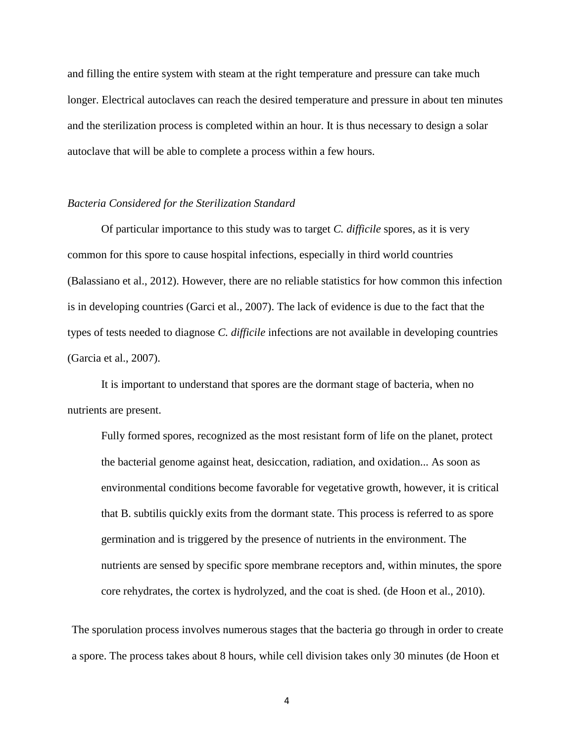and filling the entire system with steam at the right temperature and pressure can take much longer. Electrical autoclaves can reach the desired temperature and pressure in about ten minutes and the sterilization process is completed within an hour. It is thus necessary to design a solar autoclave that will be able to complete a process within a few hours.

#### *Bacteria Considered for the Sterilization Standard*

Of particular importance to this study was to target *C. difficile* spores, as it is very common for this spore to cause hospital infections, especially in third world countries (Balassiano et al., 2012). However, there are no reliable statistics for how common this infection is in developing countries (Garci et al., 2007). The lack of evidence is due to the fact that the types of tests needed to diagnose *C. difficile* infections are not available in developing countries (Garcia et al., 2007).

It is important to understand that spores are the dormant stage of bacteria, when no nutrients are present.

Fully formed spores, recognized as the most resistant form of life on the planet, protect the bacterial genome against heat, desiccation, radiation, and oxidation... As soon as environmental conditions become favorable for vegetative growth, however, it is critical that B. subtilis quickly exits from the dormant state. This process is referred to as spore germination and is triggered by the presence of nutrients in the environment. The nutrients are sensed by specific spore membrane receptors and, within minutes, the spore core rehydrates, the cortex is hydrolyzed, and the coat is shed. (de Hoon et al., 2010).

The sporulation process involves numerous stages that the bacteria go through in order to create a spore. The process takes about 8 hours, while cell division takes only 30 minutes (de Hoon et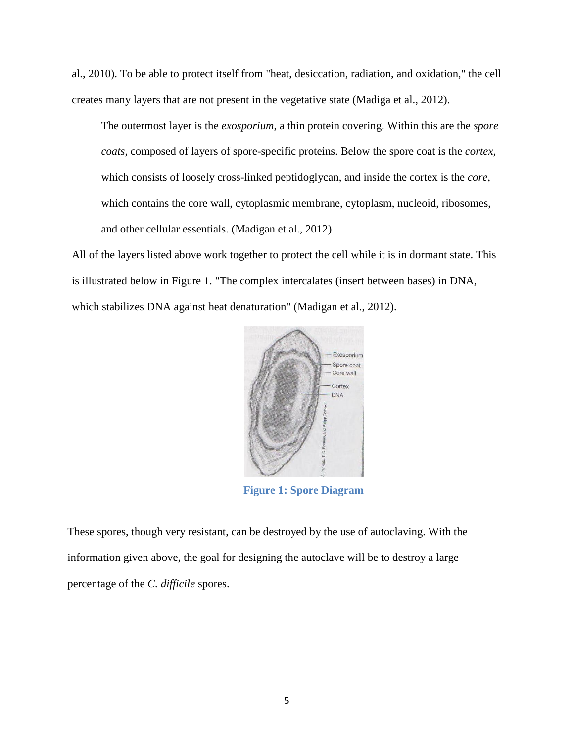al., 2010). To be able to protect itself from "heat, desiccation, radiation, and oxidation," the cell creates many layers that are not present in the vegetative state (Madiga et al., 2012).

The outermost layer is the *exosporium*, a thin protein covering. Within this are the *spore coats*, composed of layers of spore-specific proteins. Below the spore coat is the *cortex*, which consists of loosely cross-linked peptidoglycan, and inside the cortex is the *core*, which contains the core wall, cytoplasmic membrane, cytoplasm, nucleoid, ribosomes, and other cellular essentials. (Madigan et al., 2012)

All of the layers listed above work together to protect the cell while it is in dormant state. This is illustrated below in Figure 1. "The complex intercalates (insert between bases) in DNA, which stabilizes DNA against heat denaturation" (Madigan et al., 2012).



**Figure 1: Spore Diagram**

These spores, though very resistant, can be destroyed by the use of autoclaving. With the information given above, the goal for designing the autoclave will be to destroy a large percentage of the *C. difficile* spores.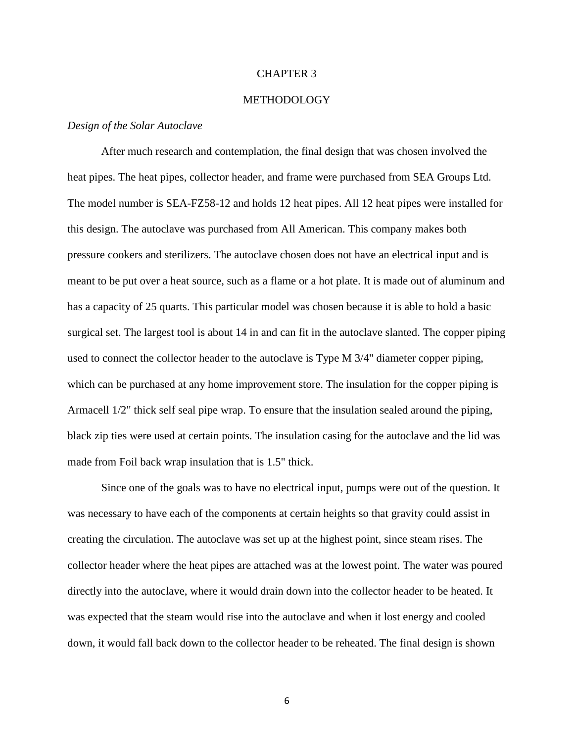#### CHAPTER 3

#### METHODOLOGY

#### *Design of the Solar Autoclave*

After much research and contemplation, the final design that was chosen involved the heat pipes. The heat pipes, collector header, and frame were purchased from SEA Groups Ltd. The model number is SEA-FZ58-12 and holds 12 heat pipes. All 12 heat pipes were installed for this design. The autoclave was purchased from All American. This company makes both pressure cookers and sterilizers. The autoclave chosen does not have an electrical input and is meant to be put over a heat source, such as a flame or a hot plate. It is made out of aluminum and has a capacity of 25 quarts. This particular model was chosen because it is able to hold a basic surgical set. The largest tool is about 14 in and can fit in the autoclave slanted. The copper piping used to connect the collector header to the autoclave is Type M 3/4" diameter copper piping, which can be purchased at any home improvement store. The insulation for the copper piping is Armacell 1/2" thick self seal pipe wrap. To ensure that the insulation sealed around the piping, black zip ties were used at certain points. The insulation casing for the autoclave and the lid was made from Foil back wrap insulation that is 1.5" thick.

Since one of the goals was to have no electrical input, pumps were out of the question. It was necessary to have each of the components at certain heights so that gravity could assist in creating the circulation. The autoclave was set up at the highest point, since steam rises. The collector header where the heat pipes are attached was at the lowest point. The water was poured directly into the autoclave, where it would drain down into the collector header to be heated. It was expected that the steam would rise into the autoclave and when it lost energy and cooled down, it would fall back down to the collector header to be reheated. The final design is shown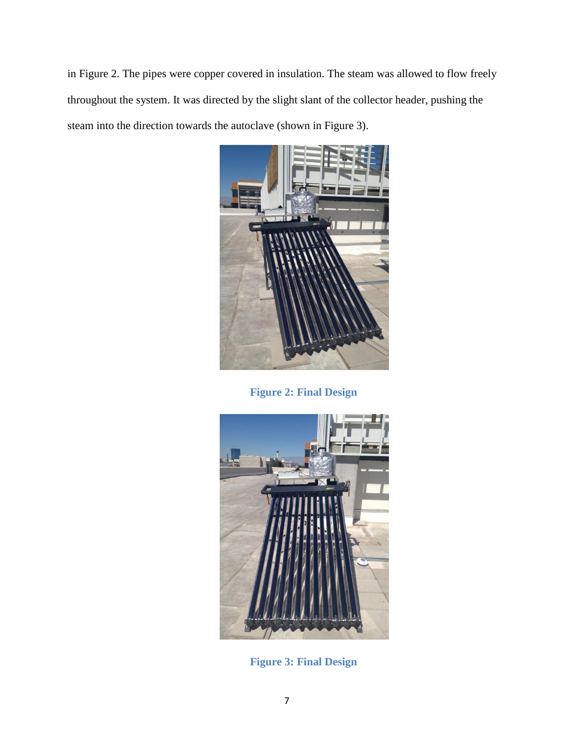in Figure 2. The pipes were copper covered in insulation. The steam was allowed to flow freely throughout the system. It was directed by the slight slant of the collector header, pushing the steam into the direction towards the autoclave (shown in Figure 3).



**Figure 2: Final Design**



**Figure 3: Final Design**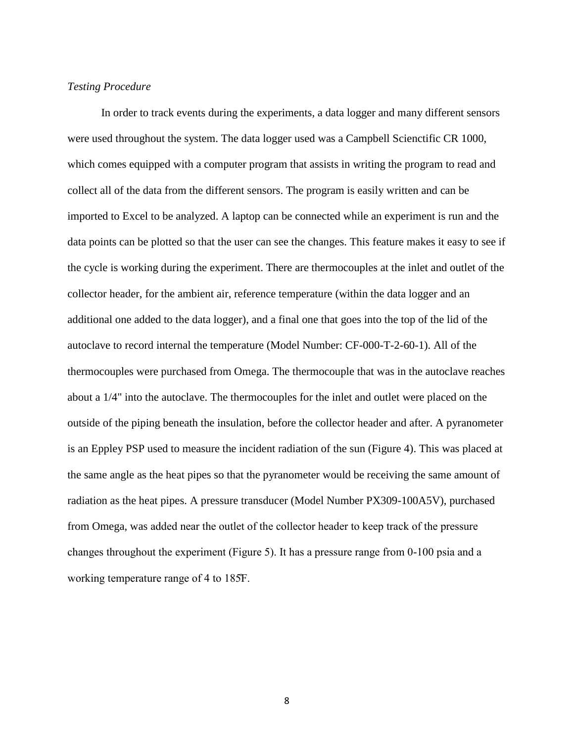### *Testing Procedure*

In order to track events during the experiments, a data logger and many different sensors were used throughout the system. The data logger used was a Campbell Scienctific CR 1000, which comes equipped with a computer program that assists in writing the program to read and collect all of the data from the different sensors. The program is easily written and can be imported to Excel to be analyzed. A laptop can be connected while an experiment is run and the data points can be plotted so that the user can see the changes. This feature makes it easy to see if the cycle is working during the experiment. There are thermocouples at the inlet and outlet of the collector header, for the ambient air, reference temperature (within the data logger and an additional one added to the data logger), and a final one that goes into the top of the lid of the autoclave to record internal the temperature (Model Number: CF-000-T-2-60-1). All of the thermocouples were purchased from Omega. The thermocouple that was in the autoclave reaches about a 1/4" into the autoclave. The thermocouples for the inlet and outlet were placed on the outside of the piping beneath the insulation, before the collector header and after. A pyranometer is an Eppley PSP used to measure the incident radiation of the sun (Figure 4). This was placed at the same angle as the heat pipes so that the pyranometer would be receiving the same amount of radiation as the heat pipes. A pressure transducer (Model Number PX309-100A5V), purchased from Omega, was added near the outlet of the collector header to keep track of the pressure changes throughout the experiment (Figure 5). It has a pressure range from  $0-100$  psia and a working temperature range of 4 to 185F.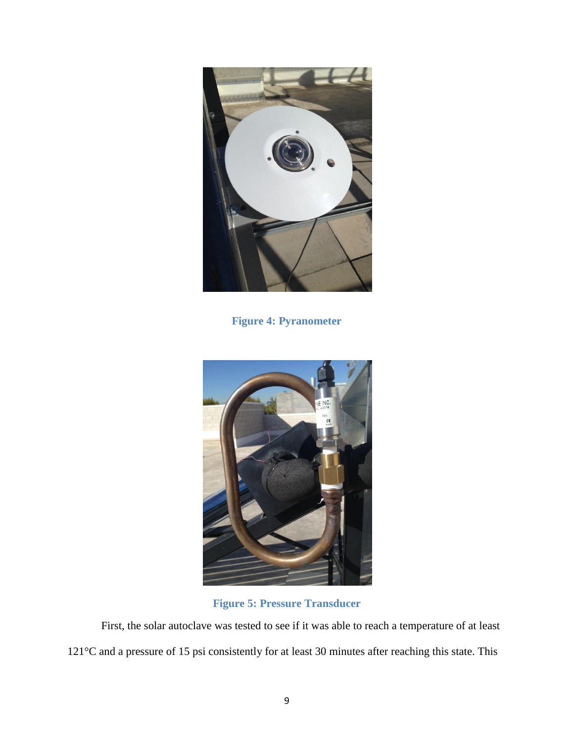

**Figure 4: Pyranometer**



**Figure 5: Pressure Transducer**

First, the solar autoclave was tested to see if it was able to reach a temperature of at least 121°C and a pressure of 15 psi consistently for at least 30 minutes after reaching this state. This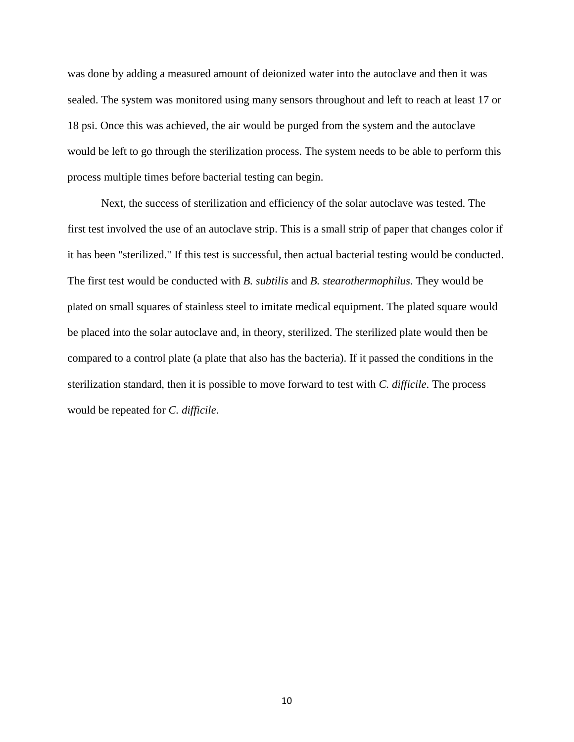was done by adding a measured amount of deionized water into the autoclave and then it was sealed. The system was monitored using many sensors throughout and left to reach at least 17 or 18 psi. Once this was achieved, the air would be purged from the system and the autoclave would be left to go through the sterilization process. The system needs to be able to perform this process multiple times before bacterial testing can begin.

Next, the success of sterilization and efficiency of the solar autoclave was tested. The first test involved the use of an autoclave strip. This is a small strip of paper that changes color if it has been "sterilized." If this test is successful, then actual bacterial testing would be conducted. The first test would be conducted with *B. subtilis* and *B. stearothermophilus*. They would be plated on small squares of stainless steel to imitate medical equipment. The plated square would be placed into the solar autoclave and, in theory, sterilized. The sterilized plate would then be compared to a control plate (a plate that also has the bacteria). If it passed the conditions in the sterilization standard, then it is possible to move forward to test with *C. difficile*. The process would be repeated for *C. difficile*.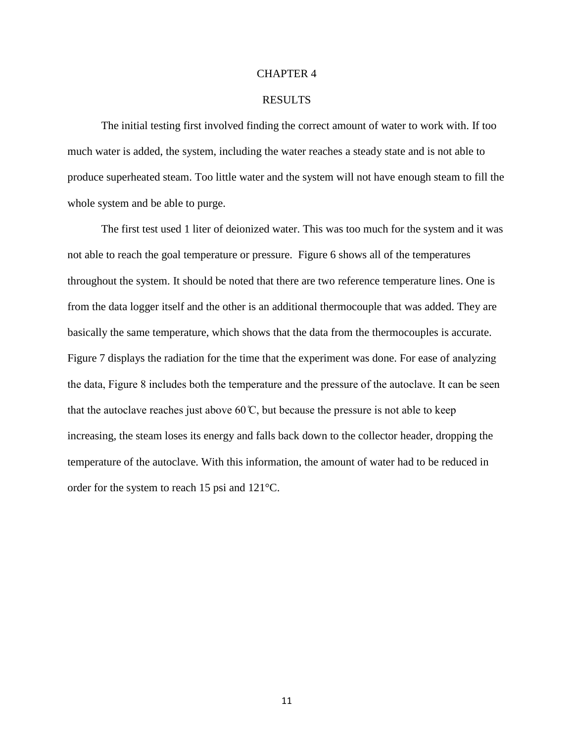#### CHAPTER 4

#### RESULTS

The initial testing first involved finding the correct amount of water to work with. If too much water is added, the system, including the water reaches a steady state and is not able to produce superheated steam. Too little water and the system will not have enough steam to fill the whole system and be able to purge.

The first test used 1 liter of deionized water. This was too much for the system and it was not able to reach the goal temperature or pressure. Figure 6 shows all of the temperatures throughout the system. It should be noted that there are two reference temperature lines. One is from the data logger itself and the other is an additional thermocouple that was added. They are basically the same temperature, which shows that the data from the thermocouples is accurate. Figure 7 displays the radiation for the time that the experiment was done. For ease of analyzing the data, Figure 8 includes both the temperature and the pressure of the autoclave. It can be seen that the autoclave reaches just above 60  $\mathbb{C}$ , but because the pressure is not able to keep increasing, the steam loses its energy and falls back down to the collector header, dropping the temperature of the autoclave. With this information, the amount of water had to be reduced in order for the system to reach 15 psi and 121°C.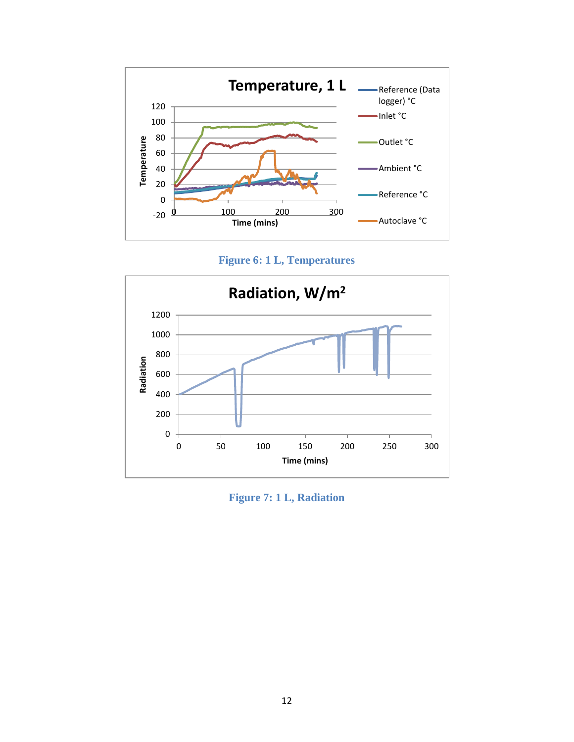

**Figure 6: 1 L, Temperatures**



**Figure 7: 1 L, Radiation**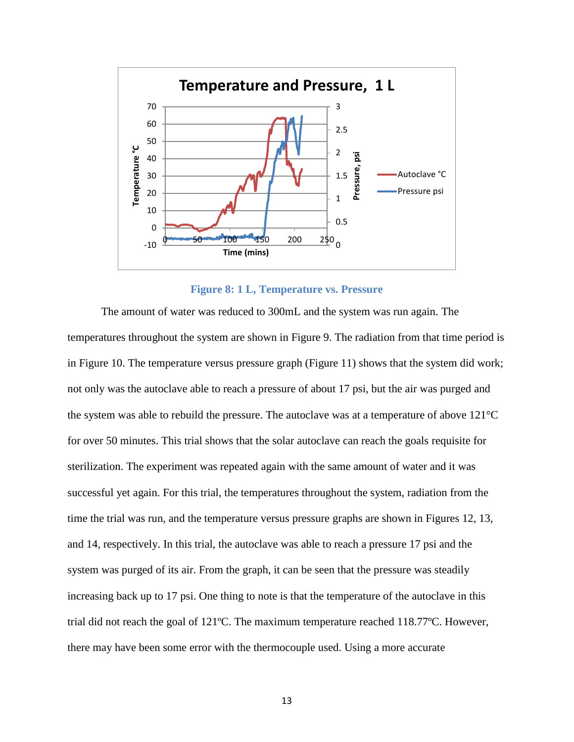

#### **Figure 8: 1 L, Temperature vs. Pressure**

The amount of water was reduced to 300mL and the system was run again. The temperatures throughout the system are shown in Figure 9. The radiation from that time period is in Figure 10. The temperature versus pressure graph (Figure 11) shows that the system did work; not only was the autoclave able to reach a pressure of about 17 psi, but the air was purged and the system was able to rebuild the pressure. The autoclave was at a temperature of above 121°C for over 50 minutes. This trial shows that the solar autoclave can reach the goals requisite for sterilization. The experiment was repeated again with the same amount of water and it was successful yet again. For this trial, the temperatures throughout the system, radiation from the time the trial was run, and the temperature versus pressure graphs are shown in Figures 12, 13, and 14, respectively. In this trial, the autoclave was able to reach a pressure 17 psi and the system was purged of its air. From the graph, it can be seen that the pressure was steadily increasing back up to 17 psi. One thing to note is that the temperature of the autoclave in this trial did not reach the goal of 121ºC. The maximum temperature reached 118.77ºC. However, there may have been some error with the thermocouple used. Using a more accurate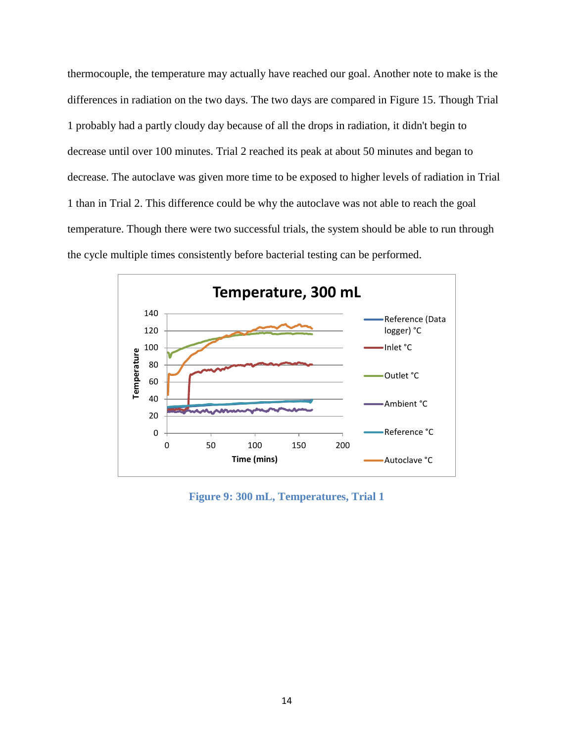thermocouple, the temperature may actually have reached our goal. Another note to make is the differences in radiation on the two days. The two days are compared in Figure 15. Though Trial 1 probably had a partly cloudy day because of all the drops in radiation, it didn't begin to decrease until over 100 minutes. Trial 2 reached its peak at about 50 minutes and began to decrease. The autoclave was given more time to be exposed to higher levels of radiation in Trial 1 than in Trial 2. This difference could be why the autoclave was not able to reach the goal temperature. Though there were two successful trials, the system should be able to run through the cycle multiple times consistently before bacterial testing can be performed.



**Figure 9: 300 mL, Temperatures, Trial 1**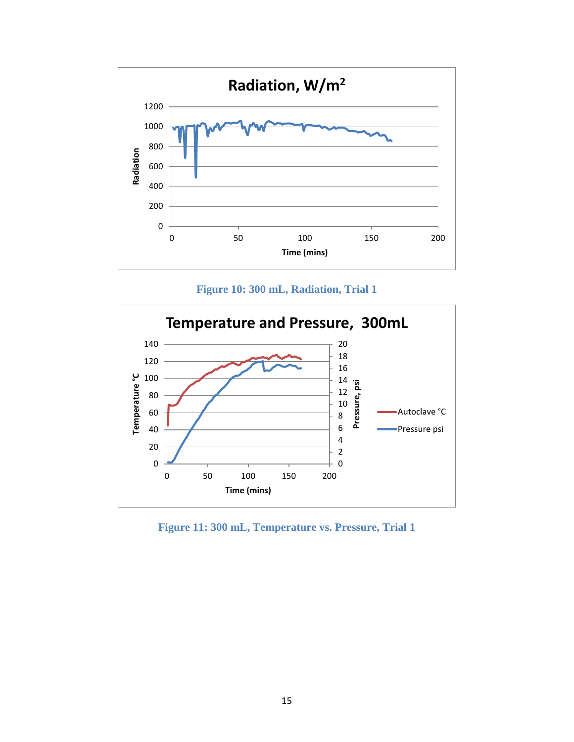

**Figure 10: 300 mL, Radiation, Trial 1**



**Figure 11: 300 mL, Temperature vs. Pressure, Trial 1**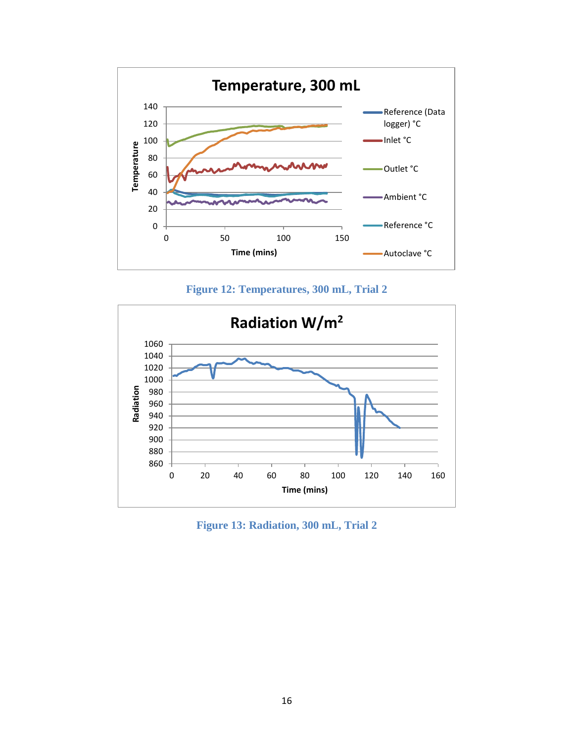

**Figure 12: Temperatures, 300 mL, Trial 2**



**Figure 13: Radiation, 300 mL, Trial 2**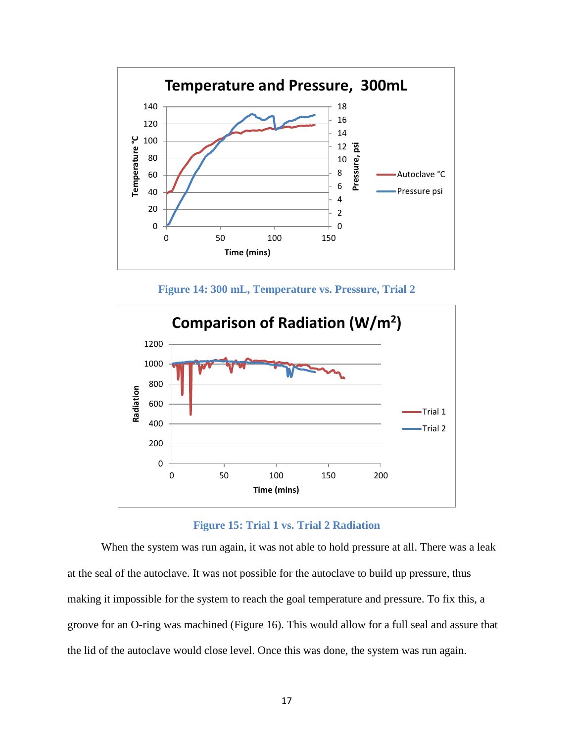

**Figure 14: 300 mL, Temperature vs. Pressure, Trial 2**



**Figure 15: Trial 1 vs. Trial 2 Radiation**

When the system was run again, it was not able to hold pressure at all. There was a leak at the seal of the autoclave. It was not possible for the autoclave to build up pressure, thus making it impossible for the system to reach the goal temperature and pressure. To fix this, a groove for an O-ring was machined (Figure 16). This would allow for a full seal and assure that the lid of the autoclave would close level. Once this was done, the system was run again.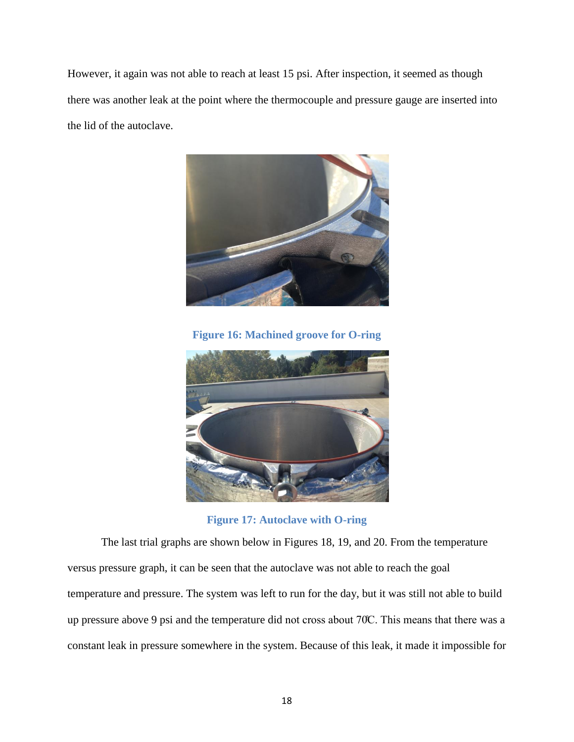However, it again was not able to reach at least 15 psi. After inspection, it seemed as though there was another leak at the point where the thermocouple and pressure gauge are inserted into the lid of the autoclave.



**Figure 16: Machined groove for O-ring**



**Figure 17: Autoclave with O-ring**

The last trial graphs are shown below in Figures 18, 19, and 20. From the temperature versus pressure graph, it can be seen that the autoclave was not able to reach the goal temperature and pressure. The system was left to run for the day, but it was still not able to build up pressure above 9 psi and the temperature did not cross about 70°C. This means that there was a constant leak in pressure somewhere in the system. Because of this leak, it made it impossible for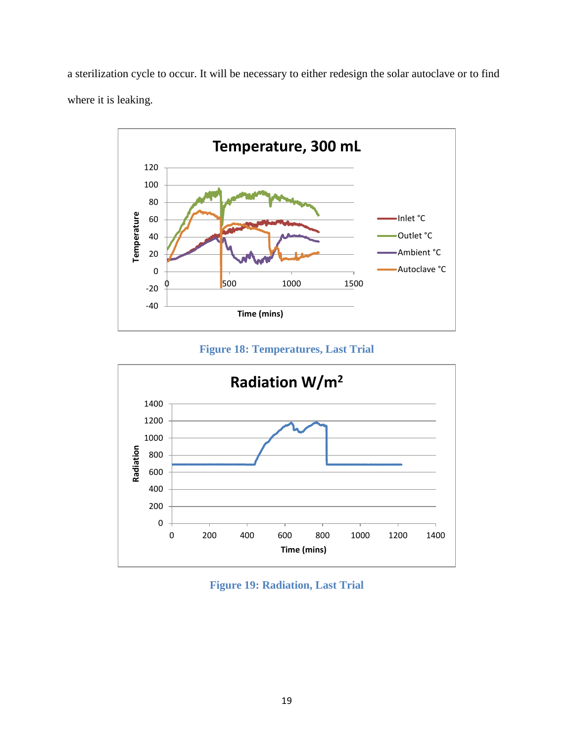a sterilization cycle to occur. It will be necessary to either redesign the solar autoclave or to find where it is leaking.



**Figure 18: Temperatures, Last Trial**



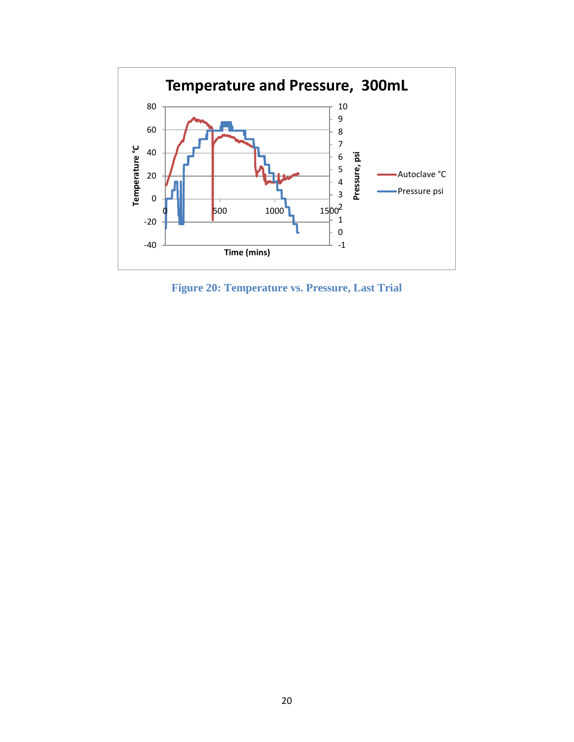

**Figure 20: Temperature vs. Pressure, Last Trial**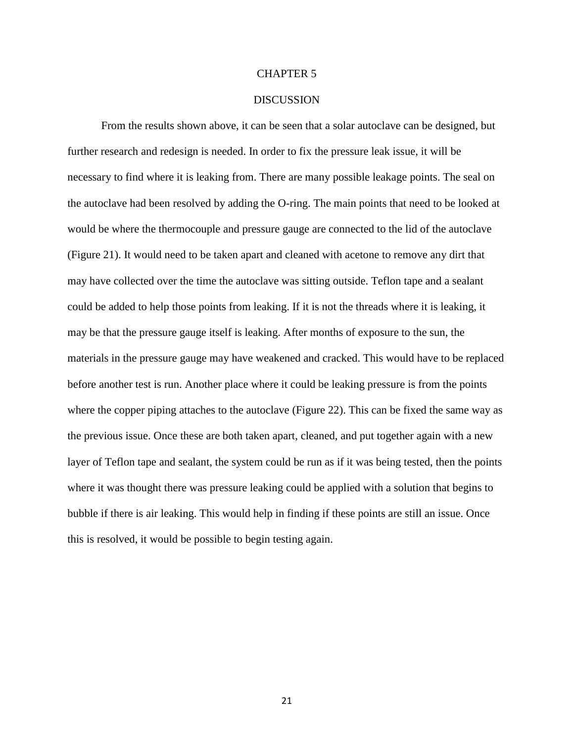#### CHAPTER 5

#### **DISCUSSION**

From the results shown above, it can be seen that a solar autoclave can be designed, but further research and redesign is needed. In order to fix the pressure leak issue, it will be necessary to find where it is leaking from. There are many possible leakage points. The seal on the autoclave had been resolved by adding the O-ring. The main points that need to be looked at would be where the thermocouple and pressure gauge are connected to the lid of the autoclave (Figure 21). It would need to be taken apart and cleaned with acetone to remove any dirt that may have collected over the time the autoclave was sitting outside. Teflon tape and a sealant could be added to help those points from leaking. If it is not the threads where it is leaking, it may be that the pressure gauge itself is leaking. After months of exposure to the sun, the materials in the pressure gauge may have weakened and cracked. This would have to be replaced before another test is run. Another place where it could be leaking pressure is from the points where the copper piping attaches to the autoclave (Figure 22). This can be fixed the same way as the previous issue. Once these are both taken apart, cleaned, and put together again with a new layer of Teflon tape and sealant, the system could be run as if it was being tested, then the points where it was thought there was pressure leaking could be applied with a solution that begins to bubble if there is air leaking. This would help in finding if these points are still an issue. Once this is resolved, it would be possible to begin testing again.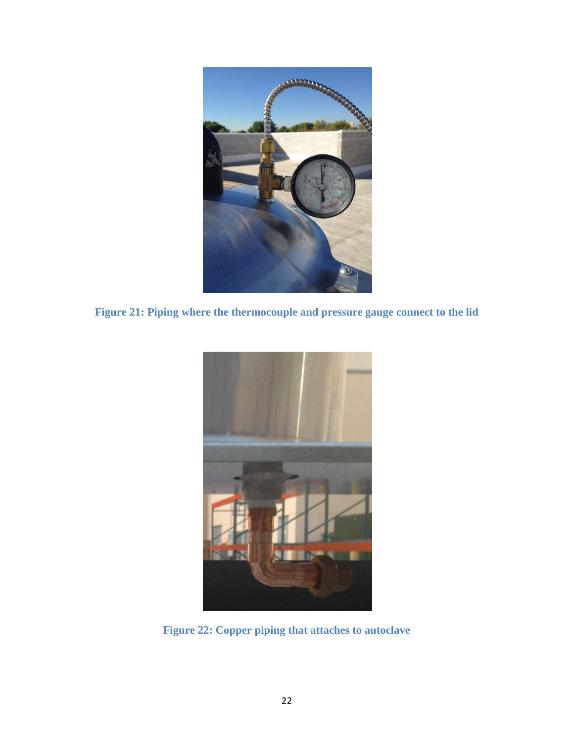

**Figure 21: Piping where the thermocouple and pressure gauge connect to the lid**



**Figure 22: Copper piping that attaches to autoclave**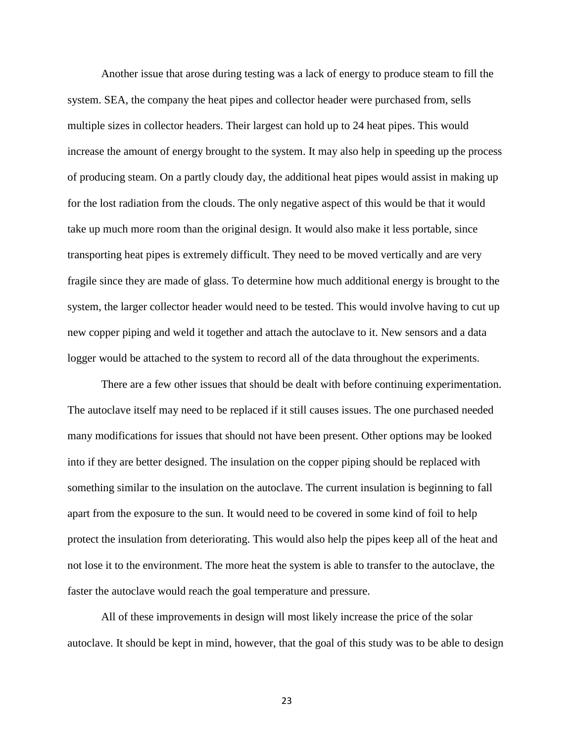Another issue that arose during testing was a lack of energy to produce steam to fill the system. SEA, the company the heat pipes and collector header were purchased from, sells multiple sizes in collector headers. Their largest can hold up to 24 heat pipes. This would increase the amount of energy brought to the system. It may also help in speeding up the process of producing steam. On a partly cloudy day, the additional heat pipes would assist in making up for the lost radiation from the clouds. The only negative aspect of this would be that it would take up much more room than the original design. It would also make it less portable, since transporting heat pipes is extremely difficult. They need to be moved vertically and are very fragile since they are made of glass. To determine how much additional energy is brought to the system, the larger collector header would need to be tested. This would involve having to cut up new copper piping and weld it together and attach the autoclave to it. New sensors and a data logger would be attached to the system to record all of the data throughout the experiments.

There are a few other issues that should be dealt with before continuing experimentation. The autoclave itself may need to be replaced if it still causes issues. The one purchased needed many modifications for issues that should not have been present. Other options may be looked into if they are better designed. The insulation on the copper piping should be replaced with something similar to the insulation on the autoclave. The current insulation is beginning to fall apart from the exposure to the sun. It would need to be covered in some kind of foil to help protect the insulation from deteriorating. This would also help the pipes keep all of the heat and not lose it to the environment. The more heat the system is able to transfer to the autoclave, the faster the autoclave would reach the goal temperature and pressure.

All of these improvements in design will most likely increase the price of the solar autoclave. It should be kept in mind, however, that the goal of this study was to be able to design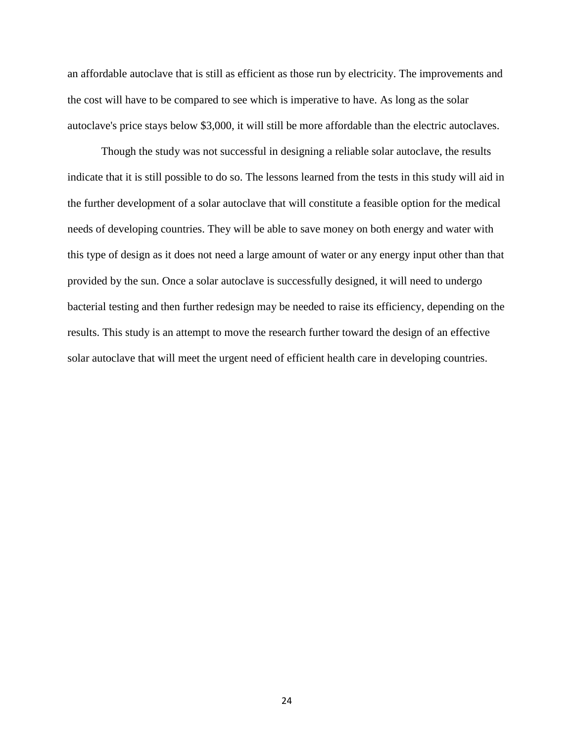an affordable autoclave that is still as efficient as those run by electricity. The improvements and the cost will have to be compared to see which is imperative to have. As long as the solar autoclave's price stays below \$3,000, it will still be more affordable than the electric autoclaves.

Though the study was not successful in designing a reliable solar autoclave, the results indicate that it is still possible to do so. The lessons learned from the tests in this study will aid in the further development of a solar autoclave that will constitute a feasible option for the medical needs of developing countries. They will be able to save money on both energy and water with this type of design as it does not need a large amount of water or any energy input other than that provided by the sun. Once a solar autoclave is successfully designed, it will need to undergo bacterial testing and then further redesign may be needed to raise its efficiency, depending on the results. This study is an attempt to move the research further toward the design of an effective solar autoclave that will meet the urgent need of efficient health care in developing countries.